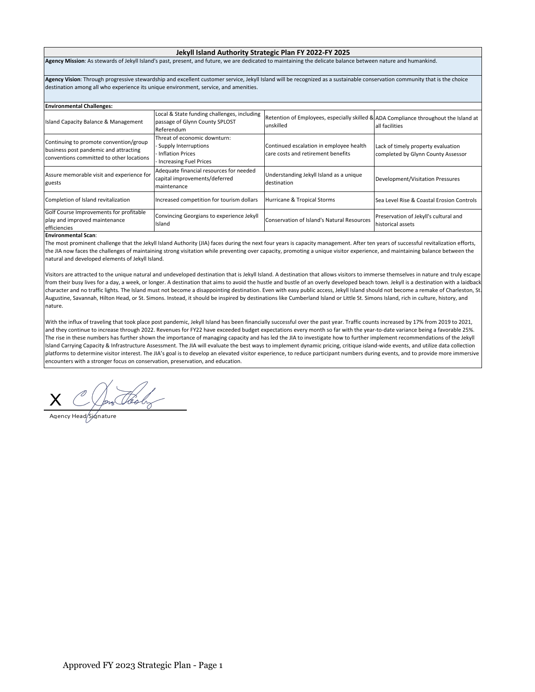## **Jekyll Island Authority Strategic Plan FY 2022‐FY 2025**

**Agency Mission**: As stewards of Jekyll Island's past, present, and future, we are dedicated to maintaining the delicate balance between nature and humankind.

**Agency Vision**: Through progressive stewardship and excellent customer service, Jekyll Island will be recognized as a sustainable conservation community that is the choice destination among all who experience its unique environment, service, and amenities.

| <b>Environmental Challenges:</b>                                                                                            |                                                                                                    |                                                                                                   |                                                                          |  |  |  |  |  |
|-----------------------------------------------------------------------------------------------------------------------------|----------------------------------------------------------------------------------------------------|---------------------------------------------------------------------------------------------------|--------------------------------------------------------------------------|--|--|--|--|--|
| Island Capacity Balance & Management                                                                                        | Local & State funding challenges, including<br>passage of Glynn County SPLOST<br>Referendum        | Retention of Employees, especially skilled & ADA Compliance throughout the Island at<br>unskilled | all facilities                                                           |  |  |  |  |  |
| Continuing to promote convention/group<br>business post pandemic and attracting<br>conventions committed to other locations | Threat of economic downturn:<br>Supply Interruptions<br>Inflation Prices<br>Increasing Fuel Prices | Continued escalation in employee health<br>care costs and retirement benefits                     | Lack of timely property evaluation<br>completed by Glynn County Assessor |  |  |  |  |  |
| Assure memorable visit and experience for<br>guests                                                                         | Adequate financial resources for needed<br>capital improvements/deferred<br>maintenance            | Understanding Jekyll Island as a unique<br>destination                                            | Development/Visitation Pressures                                         |  |  |  |  |  |
| Completion of Island revitalization                                                                                         | Increased competition for tourism dollars                                                          | Hurricane & Tropical Storms                                                                       | Sea Level Rise & Coastal Erosion Controls                                |  |  |  |  |  |
| Golf Course Improvements for profitable<br>play and improved maintenance<br>efficiencies                                    | Convincing Georgians to experience Jekyll<br>Island                                                | Conservation of Island's Natural Resources                                                        | Preservation of Jekyll's cultural and<br>historical assets               |  |  |  |  |  |

## **Environmental Scan**:

The most prominent challenge that the Jekyll Island Authority (JIA) faces during the next four years is capacity management. After ten years of successful revitalization efforts, the JIA now faces the challenges of maintaining strong visitation while preventing over capacity, promoting a unique visitor experience, and maintaining balance between the natural and developed elements of Jekyll Island.

Visitors are attracted to the unique natural and undeveloped destination that is Jekyll Island. A destination that allows visitors to immerse themselves in nature and truly escape from their busy lives for a day, a week, or longer. A destination that aims to avoid the hustle and bustle of an overly developed beach town. Jekyll is a destination with a laidback character and no traffic lights. The Island must not become a disappointing destination. Even with easy public access, Jekyll Island should not become a remake of Charleston, St. Augustine, Savannah, Hilton Head, or St. Simons. Instead, it should be inspired by destinations like Cumberland Island or Little St. Simons Island, rich in culture, history, and nature.

With the influx of traveling that took place post pandemic, Jekyll Island has been financially successful over the past year. Traffic counts increased by 17% from 2019 to 2021, and they continue to increase through 2022. Revenues for FY22 have exceeded budget expectations every month so far with the year-to-date variance being a favorable 25%. The rise in these numbers has further shown the importance of managing capacity and has led the JIA to investigate how to further implement recommendations of the Jekyll Island Carrying Capacity & Infrastructure Assessment. The JIA will evaluate the best ways to implement dynamic pricing, critique island‐wide events, and utilize data collection platforms to determine visitor interest. The JIA's goal is to develop an elevated visitor experience, to reduce participant numbers during events, and to provide more immersive encounters with a stronger focus on conservation, preservation, and education.

X Jon Pooly

Agency Head *Si*gnature